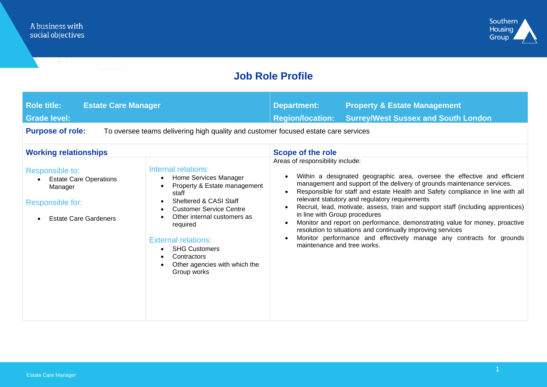

### **Job Role Profile**

| <b>Role title:</b><br><b>Estate Care Manager</b><br><b>Grade level:</b>                                         |                                                                                                                                                                                                                                                                                                                                             | <b>Department:</b><br><b>Region/location:</b>                                                    | <b>Property &amp; Estate Management</b><br><b>Surrey/West Sussex and South London</b>                                                                                                                                                                                                                                                                                                                                                                                                                                                                                                             |
|-----------------------------------------------------------------------------------------------------------------|---------------------------------------------------------------------------------------------------------------------------------------------------------------------------------------------------------------------------------------------------------------------------------------------------------------------------------------------|--------------------------------------------------------------------------------------------------|---------------------------------------------------------------------------------------------------------------------------------------------------------------------------------------------------------------------------------------------------------------------------------------------------------------------------------------------------------------------------------------------------------------------------------------------------------------------------------------------------------------------------------------------------------------------------------------------------|
| <b>Purpose of role:</b>                                                                                         | To oversee teams delivering high quality and customer focused estate care services                                                                                                                                                                                                                                                          |                                                                                                  |                                                                                                                                                                                                                                                                                                                                                                                                                                                                                                                                                                                                   |
| <b>Working relationships</b>                                                                                    |                                                                                                                                                                                                                                                                                                                                             | Scope of the role                                                                                |                                                                                                                                                                                                                                                                                                                                                                                                                                                                                                                                                                                                   |
| Responsible to:<br><b>Estate Care Operations</b><br>Manager<br>Responsible for:<br><b>Estate Care Gardeners</b> | Internal relations:<br>Home Services Manager<br>$\bullet$<br>Property & Estate management<br>staff<br>Sheltered & CASI Staff<br><b>Customer Service Centre</b><br>Other internal customers as<br>required<br><b>External relations:</b><br><b>SHG Customers</b><br>$\bullet$<br>Contractors<br>Other agencies with which the<br>Group works | Areas of responsibility include:<br>in line with Group procedures<br>maintenance and tree works. | Within a designated geographic area, oversee the effective and efficient<br>management and support of the delivery of grounds maintenance services.<br>Responsible for staff and estate Health and Safety compliance in line with all<br>relevant statutory and regulatory requirements<br>Recruit, lead, motivate, assess, train and support staff (including apprentices)<br>Monitor and report on performance, demonstrating value for money, proactive<br>resolution to situations and continually improving services<br>Monitor performance and effectively manage any contracts for grounds |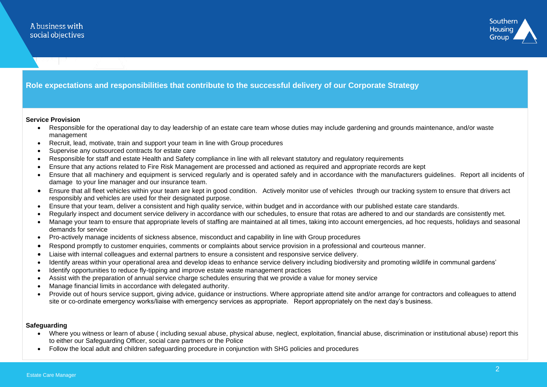

#### **Role expectations and responsibilities that contribute to the successful delivery of our Corporate Strategy**

#### **Service Provision**

- Responsible for the operational day to day leadership of an estate care team whose duties may include gardening and grounds maintenance, and/or waste management
- Recruit, lead, motivate, train and support your team in line with Group procedures
- Supervise any outsourced contracts for estate care
- Responsible for staff and estate Health and Safety compliance in line with all relevant statutory and regulatory requirements
- Ensure that any actions related to Fire Risk Management are processed and actioned as required and appropriate records are kept
- Ensure that all machinery and equipment is serviced regularly and is operated safely and in accordance with the manufacturers guidelines. Report all incidents of damage to your line manager and our insurance team.
- Ensure that all fleet vehicles within your team are kept in good condition. Actively monitor use of vehicles through our tracking system to ensure that drivers act responsibly and vehicles are used for their designated purpose.
- Ensure that your team, deliver a consistent and high quality service, within budget and in accordance with our published estate care standards.
- Regularly inspect and document service delivery in accordance with our schedules, to ensure that rotas are adhered to and our standards are consistently met.
- Manage your team to ensure that appropriate levels of staffing are maintained at all times, taking into account emergencies, ad hoc requests, holidays and seasonal demands for service
- Pro-actively manage incidents of sickness absence, misconduct and capability in line with Group procedures
- Respond promptly to customer enquiries, comments or complaints about service provision in a professional and courteous manner.
- Liaise with internal colleagues and external partners to ensure a consistent and responsive service delivery.
- Identify areas within your operational area and develop ideas to enhance service delivery including biodiversity and promoting wildlife in communal gardens'
- Identify opportunities to reduce fly-tipping and improve estate waste management practices
- Assist with the preparation of annual service charge schedules ensuring that we provide a value for money service
- Manage financial limits in accordance with delegated authority.
- Provide out of hours service support, giving advice, guidance or instructions. Where appropriate attend site and/or arrange for contractors and colleagues to attend site or co-ordinate emergency works/liaise with emergency services as appropriate. Report appropriately on the next day's business.

#### **Safeguarding**

- Where you witness or learn of abuse ( including sexual abuse, physical abuse, neglect, exploitation, financial abuse, discrimination or institutional abuse) report this to either our Safeguarding Officer, social care partners or the Police
- Follow the local adult and children safeguarding procedure in conjunction with SHG policies and procedures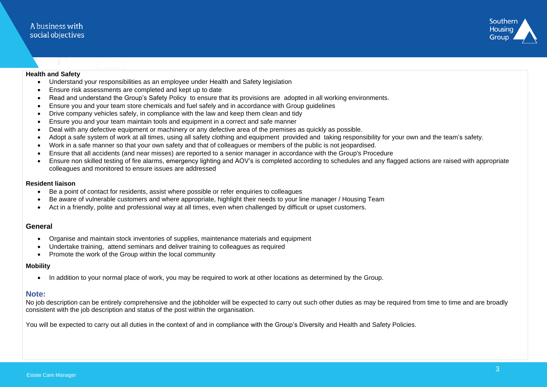

#### **Health and Safety**

- Understand your responsibilities as an employee under Health and Safety legislation
- Ensure risk assessments are completed and kept up to date
- Read and understand the Group's Safety Policy to ensure that its provisions are adopted in all working environments.
- Ensure you and your team store chemicals and fuel safely and in accordance with Group guidelines
- Drive company vehicles safely, in compliance with the law and keep them clean and tidy
- Ensure you and your team maintain tools and equipment in a correct and safe manner
- Deal with any defective equipment or machinery or any defective area of the premises as quickly as possible.
- Adopt a safe system of work at all times, using all safety clothing and equipment provided and taking responsibility for your own and the team's safety.
- Work in a safe manner so that your own safety and that of colleagues or members of the public is not jeopardised.
- Ensure that all accidents (and near misses) are reported to a senior manager in accordance with the Group's Procedure
- Ensure non skilled testing of fire alarms, emergency lighting and AOV's is completed according to schedules and any flagged actions are raised with appropriate colleagues and monitored to ensure issues are addressed

#### **Resident liaison**

- Be a point of contact for residents, assist where possible or refer enquiries to colleagues
- Be aware of vulnerable customers and where appropriate, highlight their needs to your line manager / Housing Team
- Act in a friendly, polite and professional way at all times, even when challenged by difficult or upset customers.

#### **General**

- Organise and maintain stock inventories of supplies, maintenance materials and equipment
- Undertake training, attend seminars and deliver training to colleagues as required
- Promote the work of the Group within the local community

#### **Mobility**

• In addition to your normal place of work, you may be required to work at other locations as determined by the Group.

#### **Note:**

No job description can be entirely comprehensive and the jobholder will be expected to carry out such other duties as may be required from time to time and are broadly consistent with the job description and status of the post within the organisation.

You will be expected to carry out all duties in the context of and in compliance with the Group's Diversity and Health and Safety Policies.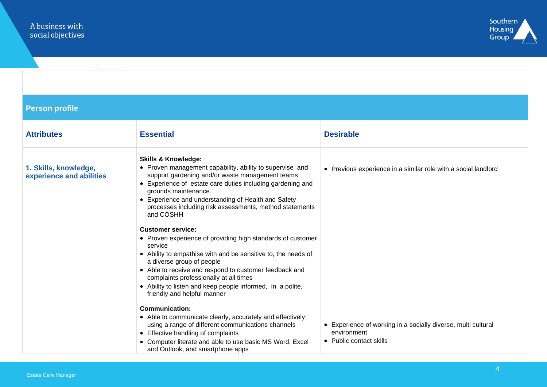

### **Person profile**

| <b>Attributes</b>                                 | <b>Essential</b>                                                                                                                                                                                                                                                                                                                                                                                                           | <b>Desirable</b>                                                                                        |
|---------------------------------------------------|----------------------------------------------------------------------------------------------------------------------------------------------------------------------------------------------------------------------------------------------------------------------------------------------------------------------------------------------------------------------------------------------------------------------------|---------------------------------------------------------------------------------------------------------|
| 1. Skills, knowledge,<br>experience and abilities | <b>Skills &amp; Knowledge:</b><br>• Proven management capability, ability to supervise and<br>support gardening and/or waste management teams<br>• Experience of estate care duties including gardening and<br>grounds maintenance.<br>• Experience and understanding of Health and Safety<br>processes including risk assessments, method statements<br>and COSHH                                                         | • Previous experience in a similar role with a social landlord                                          |
|                                                   | <b>Customer service:</b><br>• Proven experience of providing high standards of customer<br>service<br>• Ability to empathise with and be sensitive to, the needs of<br>a diverse group of people<br>• Able to receive and respond to customer feedback and<br>complaints professionally at all times<br>• Ability to listen and keep people informed, in a polite,<br>friendly and helpful manner<br><b>Communication:</b> |                                                                                                         |
|                                                   | • Able to communicate clearly, accurately and effectively<br>using a range of different communications channels<br>• Effective handling of complaints<br>• Computer literate and able to use basic MS Word, Excel<br>and Outlook, and smartphone apps                                                                                                                                                                      | • Experience of working in a socially diverse, multi cultural<br>environment<br>• Public contact skills |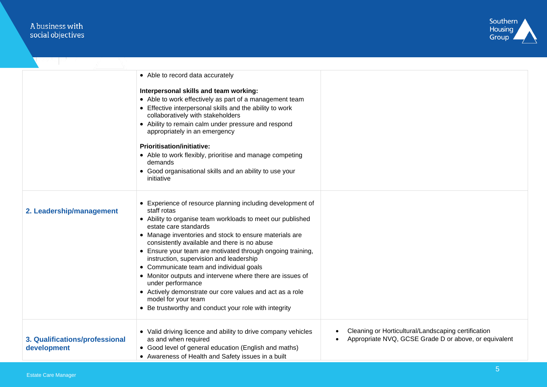# A business with<br>social objectives



|                                               | • Able to record data accurately                                                                                                                                                                                                                                                           |                                                                                                              |
|-----------------------------------------------|--------------------------------------------------------------------------------------------------------------------------------------------------------------------------------------------------------------------------------------------------------------------------------------------|--------------------------------------------------------------------------------------------------------------|
|                                               | Interpersonal skills and team working:<br>• Able to work effectively as part of a management team<br>• Effective interpersonal skills and the ability to work<br>collaboratively with stakeholders<br>• Ability to remain calm under pressure and respond<br>appropriately in an emergency |                                                                                                              |
|                                               | Prioritisation/initiative:<br>• Able to work flexibly, prioritise and manage competing<br>demands<br>• Good organisational skills and an ability to use your                                                                                                                               |                                                                                                              |
|                                               | initiative                                                                                                                                                                                                                                                                                 |                                                                                                              |
| 2. Leadership/management                      | • Experience of resource planning including development of<br>staff rotas<br>• Ability to organise team workloads to meet our published<br>estate care standards<br>• Manage inventories and stock to ensure materials are<br>consistently available and there is no abuse                 |                                                                                                              |
|                                               | • Ensure your team are motivated through ongoing training,<br>instruction, supervision and leadership<br>• Communicate team and individual goals                                                                                                                                           |                                                                                                              |
|                                               | • Monitor outputs and intervene where there are issues of<br>under performance<br>• Actively demonstrate our core values and act as a role<br>model for your team                                                                                                                          |                                                                                                              |
|                                               | • Be trustworthy and conduct your role with integrity                                                                                                                                                                                                                                      |                                                                                                              |
| 3. Qualifications/professional<br>development | • Valid driving licence and ability to drive company vehicles<br>as and when required<br>• Good level of general education (English and maths)<br>• Awareness of Health and Safety issues in a built                                                                                       | Cleaning or Horticultural/Landscaping certification<br>Appropriate NVQ, GCSE Grade D or above, or equivalent |